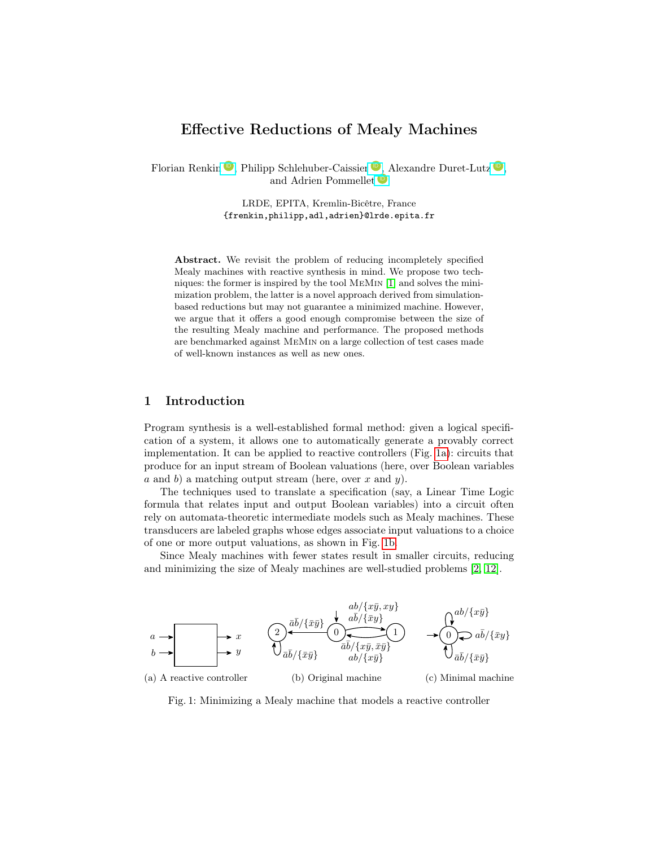# Effective Reductions of Mealy Machines

Florian Renkin <sup>1</sup>D, Philipp Schlehuber-Caissier <sup>1</sup>D, Alexandre Duret-Lutz <sup>1</sup>D, and Adrien Pommellet  $\bullet$ 

> LRDE, EPITA, Kremlin-Bicêtre, France {frenkin,philipp,adl,adrien}@lrde.epita.fr

Abstract. We revisit the problem of reducing incompletely specified Mealy machines with reactive synthesis in mind. We propose two techniques: the former is inspired by the tool MeMin [\[1\]](#page-15-0) and solves the minimization problem, the latter is a novel approach derived from simulationbased reductions but may not guarantee a minimized machine. However, we argue that it offers a good enough compromise between the size of the resulting Mealy machine and performance. The proposed methods are benchmarked against MeMin on a large collection of test cases made of well-known instances as well as new ones.

# 1 Introduction

Program synthesis is a well-established formal method: given a logical specification of a system, it allows one to automatically generate a provably correct implementation. It can be applied to reactive controllers (Fig. [1a\)](#page-0-0): circuits that produce for an input stream of Boolean valuations (here, over Boolean variables a and b) a matching output stream (here, over x and y).

The techniques used to translate a specification (say, a Linear Time Logic formula that relates input and output Boolean variables) into a circuit often rely on automata-theoretic intermediate models such as Mealy machines. These transducers are labeled graphs whose edges associate input valuations to a choice of one or more output valuations, as shown in Fig. [1b.](#page-0-0)

Since Mealy machines with fewer states result in smaller circuits, reducing and minimizing the size of Mealy machines are well-studied problems [\[2,](#page-15-1) [12\]](#page-15-2).

<span id="page-0-0"></span>

Fig. 1: Minimizing a Mealy machine that models a reactive controller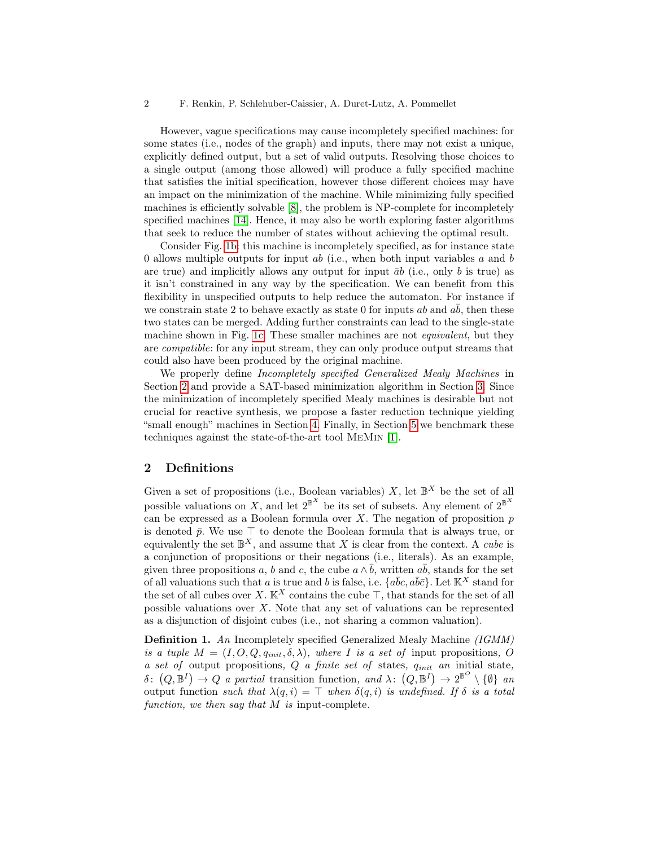However, vague specifications may cause incompletely specified machines: for some states (i.e., nodes of the graph) and inputs, there may not exist a unique, explicitly defined output, but a set of valid outputs. Resolving those choices to a single output (among those allowed) will produce a fully specified machine that satisfies the initial specification, however those different choices may have an impact on the minimization of the machine. While minimizing fully specified machines is efficiently solvable [\[8\]](#page-15-3), the problem is NP-complete for incompletely specified machines [\[14\]](#page-15-4). Hence, it may also be worth exploring faster algorithms that seek to reduce the number of states without achieving the optimal result.

Consider Fig. [1b:](#page-0-0) this machine is incompletely specified, as for instance state 0 allows multiple outputs for input  $ab$  (i.e., when both input variables  $a$  and  $b$ are true) and implicitly allows any output for input  $\bar{a}b$  (i.e., only b is true) as it isn't constrained in any way by the specification. We can benefit from this flexibility in unspecified outputs to help reduce the automaton. For instance if we constrain state 2 to behave exactly as state 0 for inputs  $ab$  and  $ab$ , then these two states can be merged. Adding further constraints can lead to the single-state machine shown in Fig. [1c.](#page-0-0) These smaller machines are not *equivalent*, but they are compatible: for any input stream, they can only produce output streams that could also have been produced by the original machine.

We properly define *Incompletely specified Generalized Mealy Machines* in Section [2](#page-1-0) and provide a SAT-based minimization algorithm in Section [3.](#page-3-0) Since the minimization of incompletely specified Mealy machines is desirable but not crucial for reactive synthesis, we propose a faster reduction technique yielding "small enough" machines in Section [4.](#page-10-0) Finally, in Section [5](#page-12-0) we benchmark these techniques against the state-of-the-art tool MeMin [\[1\]](#page-15-0).

### <span id="page-1-0"></span>2 Definitions

Given a set of propositions (i.e., Boolean variables) X, let  $\mathbb{B}^X$  be the set of all possible valuations on X, and let  $2^{\mathbb{B}^X}$  be its set of subsets. Any element of  $2^{\mathbb{B}^X}$ can be expressed as a Boolean formula over  $X$ . The negation of proposition  $p$ is denoted  $\bar{p}$ . We use  $\top$  to denote the Boolean formula that is always true, or equivalently the set  $\mathbb{B}^X$ , and assume that X is clear from the context. A *cube* is a conjunction of propositions or their negations (i.e., literals). As an example, given three propositions a, b and c, the cube  $a \wedge \overline{b}$ , written  $a\overline{b}$ , stands for the set of all valuations such that a is true and b is false, i.e.  $\{a\bar{b}c, a\bar{b}\bar{c}\}\.$  Let  $\mathbb{K}^X$  stand for the set of all cubes over X. K<sup>X</sup> contains the cube ⊤, that stands for the set of all possible valuations over  $X$ . Note that any set of valuations can be represented as a disjunction of disjoint cubes (i.e., not sharing a common valuation).

Definition 1. An Incompletely specified Generalized Mealy Machine (IGMM) is a tuple  $M = (I, O, Q, q_{init}, \delta, \lambda)$ , where I is a set of input propositions, O a set of output propositions,  $Q$  a finite set of states,  $q_{init}$  an initial state,  $\delta$ :  $(Q,\mathbb{B}^I) \to Q$  a partial transition function, and  $\lambda$ :  $(Q,\mathbb{B}^I) \to 2^{\mathbb{B}^O} \setminus {\emptyset}$  and output function such that  $\lambda(q, i) = \top$  when  $\delta(q, i)$  is undefined. If  $\delta$  is a total function, we then say that  $M$  is input-complete.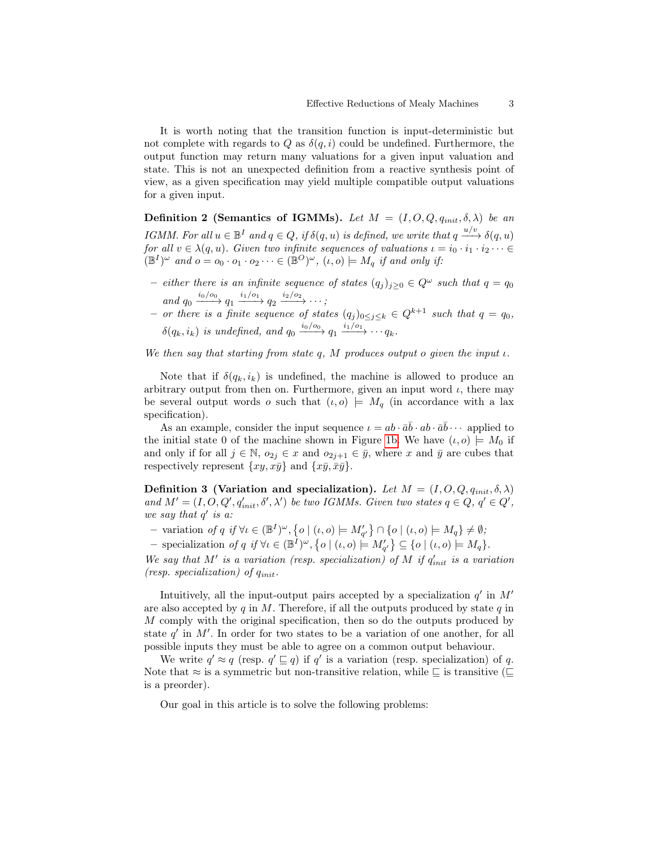It is worth noting that the transition function is input-deterministic but not complete with regards to Q as  $\delta(q, i)$  could be undefined. Furthermore, the output function may return many valuations for a given input valuation and state. This is not an unexpected definition from a reactive synthesis point of view, as a given specification may yield multiple compatible output valuations for a given input.

Definition 2 (Semantics of IGMMs). Let  $M = (I, O, Q, q_{init}, \delta, \lambda)$  be an IGMM. For all  $u \in \mathbb{B}^I$  and  $q \in Q$ , if  $\delta(q, u)$  is defined, we write that  $q \xrightarrow{u/v} \delta(q, u)$ for all  $v \in \lambda(q, u)$ . Given two infinite sequences of valuations  $u = i_0 \cdot i_1 \cdot i_2 \cdots \in$  $(\mathbb{B}^{I})^{\omega}$  and  $o = o_0 \cdot o_1 \cdot o_2 \cdots \in (\mathbb{B}^{O})^{\omega}$ ,  $(\iota, o) \models M_q$  if and only if:

- either there is an infinite sequence of states  $(q_j)_{j\geq 0}$  ∈  $Q^{\omega}$  such that  $q = q_0$ and  $q_0 \xrightarrow{i_0/o_0} q_1 \xrightarrow{i_1/o_1} q_2 \xrightarrow{i_2/o_2} \cdots;$
- or there is a finite sequence of states  $(q_i)_{0 \leq j \leq k} \in Q^{k+1}$  such that  $q = q_0$ ,  $\delta(q_k, i_k)$  is undefined, and  $q_0 \xrightarrow{i_0/\sigma_0} q_1 \xrightarrow{i_1/\sigma_1} \cdots q_k$ .

We then say that starting from state  $q$ , M produces output o given the input  $\iota$ .

Note that if  $\delta(q_k, i_k)$  is undefined, the machine is allowed to produce an arbitrary output from then on. Furthermore, given an input word  $\iota$ , there may be several output words o such that  $(\iota, o) \models M_q$  (in accordance with a lax specification).

As an example, consider the input sequence  $\iota = ab \cdot \bar{a}\bar{b} \cdot ab \cdot \bar{a}\bar{b} \cdots$  applied to the initial state 0 of the machine shown in Figure [1b.](#page-0-0) We have  $(\iota, o) \models M_0$  if and only if for all  $j \in \mathbb{N}$ ,  $o_{2j} \in x$  and  $o_{2j+1} \in \bar{y}$ , where x and  $\bar{y}$  are cubes that respectively represent  $\{xy, x\bar{y}\}\$ and  $\{\bar{x}\bar{y}, \bar{x}\bar{y}\}.$ 

Definition 3 (Variation and specialization). Let  $M = (I, O, Q, q_{init}, \delta, \lambda)$ and  $M' = (I, O, Q', q'_{init}, \delta', \lambda')$  be two IGMMs. Given two states  $q \in Q, q' \in Q',$ we say that  $q'$  is a:

- $-$  variation of q if  $\forall \iota \in (\mathbb{B}^I)^{\omega}, \{ o \mid (\iota, o) \models M'_{q'} \} \cap \{ o \mid (\iota, o) \models M_q \} \neq \emptyset;$
- specialization of q if  $\forall \iota \in (\mathbb{B}^I)^{\omega}$ ,  $\{ o \mid (\iota, o) \models M'_{q'} \} \subseteq \{ o \mid (\iota, o) \models M_q \}.$

We say that M' is a variation (resp. specialization) of M if  $q'_{init}$  is a variation (resp. specialization) of  $q_{init}$ .

Intuitively, all the input-output pairs accepted by a specialization  $q'$  in  $M'$ are also accepted by  $q$  in M. Therefore, if all the outputs produced by state  $q$  in M comply with the original specification, then so do the outputs produced by state  $q'$  in  $M'$ . In order for two states to be a variation of one another, for all possible inputs they must be able to agree on a common output behaviour.

We write  $q' \approx q$  (resp.  $q' \sqsubseteq q$ ) if  $q'$  is a variation (resp. specialization) of q. Note that  $\approx$  is a symmetric but non-transitive relation, while  $\sqsubseteq$  is transitive ( $\sqsubseteq$ is a preorder).

Our goal in this article is to solve the following problems: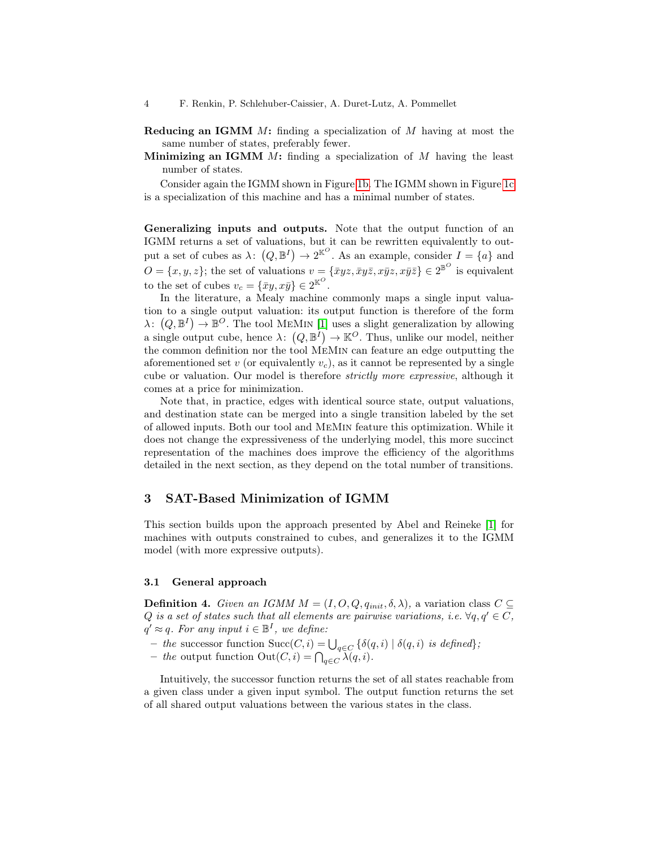- **Reducing an IGMM**  $M$ : finding a specialization of  $M$  having at most the same number of states, preferably fewer.
- **Minimizing an IGMM**  $M$ **:** finding a specialization of  $M$  having the least number of states.

Consider again the IGMM shown in Figure [1b.](#page-0-0) The IGMM shown in Figure [1c](#page-0-0) is a specialization of this machine and has a minimal number of states.

<span id="page-3-1"></span>Generalizing inputs and outputs. Note that the output function of an IGMM returns a set of valuations, but it can be rewritten equivalently to output a set of cubes as  $\lambda: (Q, \mathbb{B}^I) \to 2^{\mathbb{K}^O}$ . As an example, consider  $I = \{a\}$  and  $O = \{x, y, z\}$ ; the set of valuations  $v = \{\bar{x}yz, \bar{x}yz, x\bar{y}z, x\bar{y}\bar{z}\}\in 2^{\mathbb{B}^{\mathcal{O}}}$  is equivalent to the set of cubes  $v_c = {\bar{x}}y, x\bar{y} \in 2^{\mathbb{K}^{\mathcal{O}}}$ .

In the literature, a Mealy machine commonly maps a single input valuation to a single output valuation: its output function is therefore of the form  $\lambda: (Q, \mathbb{B}^I) \to \mathbb{B}^O$ . The tool MEMIN [\[1\]](#page-15-0) uses a slight generalization by allowing a single output cube, hence  $\lambda: (Q, \mathbb{B}^I) \to \mathbb{K}^O$ . Thus, unlike our model, neither the common definition nor the tool MeMin can feature an edge outputting the aforementioned set v (or equivalently  $v_c$ ), as it cannot be represented by a single cube or valuation. Our model is therefore strictly more expressive, although it comes at a price for minimization.

Note that, in practice, edges with identical source state, output valuations, and destination state can be merged into a single transition labeled by the set of allowed inputs. Both our tool and MeMin feature this optimization. While it does not change the expressiveness of the underlying model, this more succinct representation of the machines does improve the efficiency of the algorithms detailed in the next section, as they depend on the total number of transitions.

# <span id="page-3-0"></span>3 SAT-Based Minimization of IGMM

This section builds upon the approach presented by Abel and Reineke [\[1\]](#page-15-0) for machines with outputs constrained to cubes, and generalizes it to the IGMM model (with more expressive outputs).

#### 3.1 General approach

**Definition 4.** Given an IGMM  $M = (I, O, Q, q_{init}, \delta, \lambda)$ , a variation class  $C \subseteq$ Q is a set of states such that all elements are pairwise variations, i.e.  $\forall q, q' \in C$ ,  $q' \approx q$ . For any input  $i \in \mathbb{B}^I$ , we define:

- the successor function  $Succ(C, i) = \bigcup_{q \in C} {\delta(q, i) | \delta(q, i) \text{ is defined}};$
- the output function  $\text{Out}(C, i) = \bigcap_{q \in C} \lambda(q, i)$ .

Intuitively, the successor function returns the set of all states reachable from a given class under a given input symbol. The output function returns the set of all shared output valuations between the various states in the class.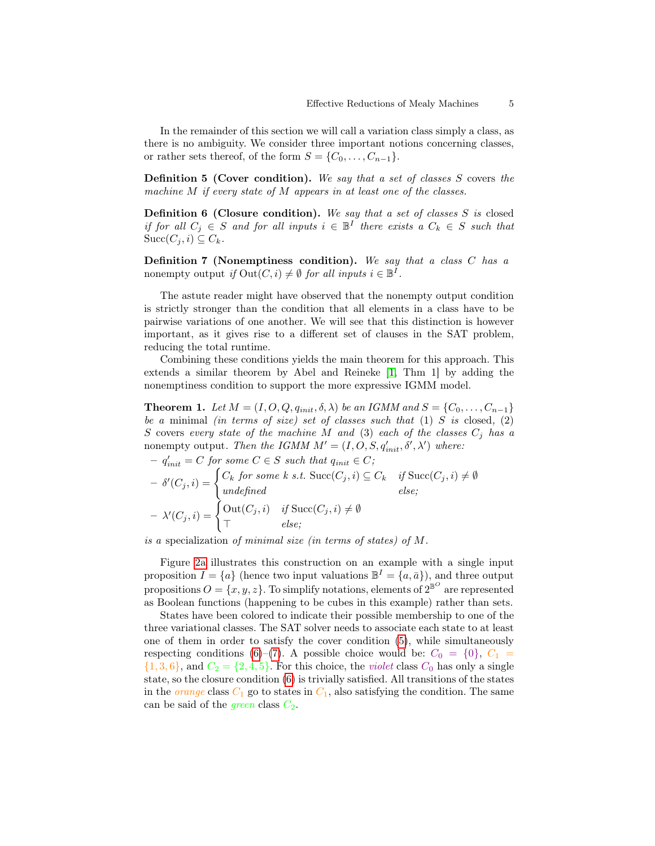In the remainder of this section we will call a variation class simply a class, as there is no ambiguity. We consider three important notions concerning classes, or rather sets thereof, of the form  $S = \{C_0, \ldots, C_{n-1}\}.$ 

<span id="page-4-0"></span>Definition 5 (Cover condition). We say that a set of classes S covers the machine M if every state of M appears in at least one of the classes.

<span id="page-4-1"></span>**Definition 6 (Closure condition).** We say that a set of classes  $S$  is closed if for all  $C_j \in S$  and for all inputs  $i \in \mathbb{B}^I$  there exists a  $C_k \in S$  such that  $Succ(C_j, i) \subseteq C_k$ .

<span id="page-4-2"></span>**Definition 7 (Nonemptiness condition).** We say that a class  $C$  has a nonempty output if  $\text{Out}(C, i) \neq \emptyset$  for all inputs  $i \in \mathbb{B}^I$ .

The astute reader might have observed that the nonempty output condition is strictly stronger than the condition that all elements in a class have to be pairwise variations of one another. We will see that this distinction is however important, as it gives rise to a different set of clauses in the SAT problem, reducing the total runtime.

Combining these conditions yields the main theorem for this approach. This extends a similar theorem by Abel and Reineke [\[1,](#page-15-0) Thm 1] by adding the nonemptiness condition to support the more expressive IGMM model.

<span id="page-4-3"></span>**Theorem 1.** Let  $M = (I, O, Q, q_{init}, \delta, \lambda)$  be an IGMM and  $S = \{C_0, \ldots, C_{n-1}\}\$ be a minimal (in terms of size) set of classes such that  $(1)$  S is closed,  $(2)$ S covers every state of the machine M and (3) each of the classes  $C_j$  has a nonempty output. Then the IGMM  $M' = (I, O, S, q'_{init}, \delta', \lambda')$  where:

$$
- q'_{init} = C \text{ for some } C \in S \text{ such that } q_{init} \in C;
$$
  
\n
$$
- \delta'(C_j, i) = \begin{cases} C_k \text{ for some } k \text{ s.t. } \text{Succ}(C_j, i) \subseteq C_k & \text{if } \text{Succ}(C_j, i) \neq \emptyset \\ \text{undefined} & \text{else;} \end{cases}
$$
  
\n
$$
- \lambda'(C_j, i) = \begin{cases} \text{Out}(C_j, i) & \text{if } \text{Succ}(C_j, i) \neq \emptyset \\ \top & \text{else;} \end{cases}
$$

is a specialization of minimal size (in terms of states) of M.

Figure [2a](#page-5-0) illustrates this construction on an example with a single input proposition  $I = \{a\}$  (hence two input valuations  $\mathbb{B}^I = \{a, \bar{a}\}\)$ , and three output propositions  $O = \{x, y, z\}$ . To simplify notations, elements of  $2^{\mathbb{B}^O}$  are represented as Boolean functions (happening to be cubes in this example) rather than sets.

States have been colored to indicate their possible membership to one of the three variational classes. The SAT solver needs to associate each state to at least one of them in order to satisfy the cover condition [\(5\)](#page-4-0), while simultaneously respecting conditions [\(6\)](#page-4-1)–[\(7\)](#page-4-2). A possible choice would be:  $C_0 = \{0\}, C_1 =$  $\{1,3,6\}$ , and  $C_2 = \{2,4,5\}$ . For this choice, the *violet* class  $C_0$  has only a single state, so the closure condition [\(6\)](#page-4-1) is trivially satisfied. All transitions of the states in the *orange* class  $C_1$  go to states in  $C_1$ , also satisfying the condition. The same can be said of the *green* class  $C_2$ .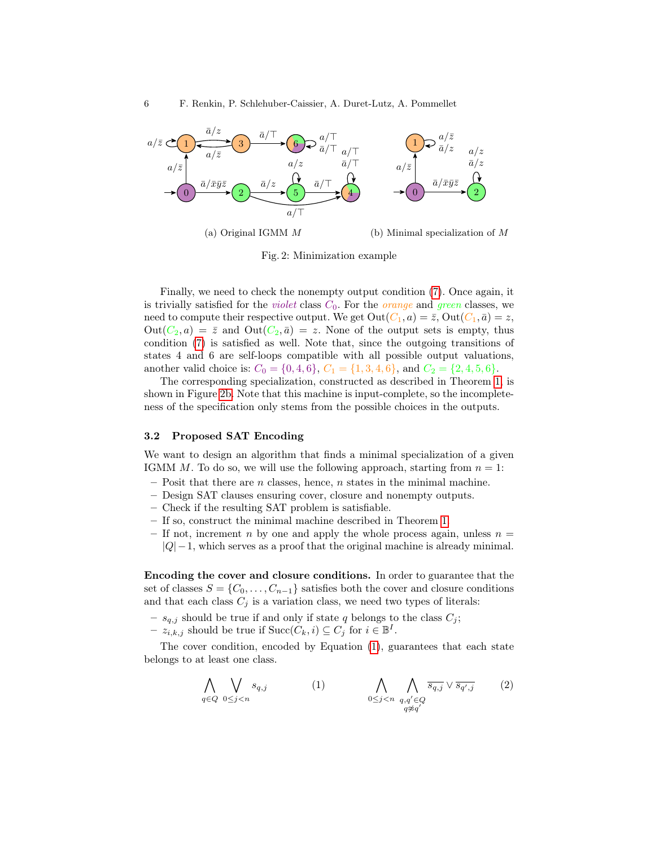<span id="page-5-0"></span>

Fig. 2: Minimization example

Finally, we need to check the nonempty output condition [\(7\)](#page-4-2). Once again, it is trivially satisfied for the *violet* class  $C_0$ . For the *orange* and *green* classes, we need to compute their respective output. We get  $Out(C_1, a) = \overline{z}$ ,  $Out(C_1, \overline{a}) = z$ ,  $Out(C_2, a) = \overline{z}$  and  $Out(C_2, \overline{a}) = z$ . None of the output sets is empty, thus condition [\(7\)](#page-4-2) is satisfied as well. Note that, since the outgoing transitions of states 4 and 6 are self-loops compatible with all possible output valuations, another valid choice is:  $C_0 = \{0, 4, 6\}, C_1 = \{1, 3, 4, 6\}, \text{ and } C_2 = \{2, 4, 5, 6\}.$ 

The corresponding specialization, constructed as described in Theorem [1,](#page-4-3) is shown in Figure [2b.](#page-5-0) Note that this machine is input-complete, so the incompleteness of the specification only stems from the possible choices in the outputs.

#### 3.2 Proposed SAT Encoding

We want to design an algorithm that finds a minimal specialization of a given IGMM M. To do so, we will use the following approach, starting from  $n = 1$ :

- $-$  Posit that there are n classes, hence, n states in the minimal machine.
- Design SAT clauses ensuring cover, closure and nonempty outputs.
- Check if the resulting SAT problem is satisfiable.
- If so, construct the minimal machine described in Theorem [1.](#page-4-3)
- If not, increment n by one and apply the whole process again, unless  $n =$  $|Q| - 1$ , which serves as a proof that the original machine is already minimal.

Encoding the cover and closure conditions. In order to guarantee that the set of classes  $S = \{C_0, \ldots, C_{n-1}\}\$  satisfies both the cover and closure conditions and that each class  $C_j$  is a variation class, we need two types of literals:

- $s_{q,j}$  should be true if and only if state q belongs to the class  $C_j$ ;
- $z_{i,k,j}$  should be true if  $\text{Succ}(C_k, i) \subseteq C_j$  for  $i \in \mathbb{B}^I$ .

The cover condition, encoded by Equation [\(1\)](#page-5-1), guarantees that each state belongs to at least one class.

<span id="page-5-2"></span><span id="page-5-1"></span>
$$
\bigwedge_{q \in Q} \bigvee_{0 \le j < n} s_{q,j} \tag{1} \bigwedge_{0 \le j < n} \bigwedge_{\substack{q,q' \in Q \\ q \not\approx q'}} \overline{s_{q,j}} \vee \overline{s_{q',j}} \tag{2}
$$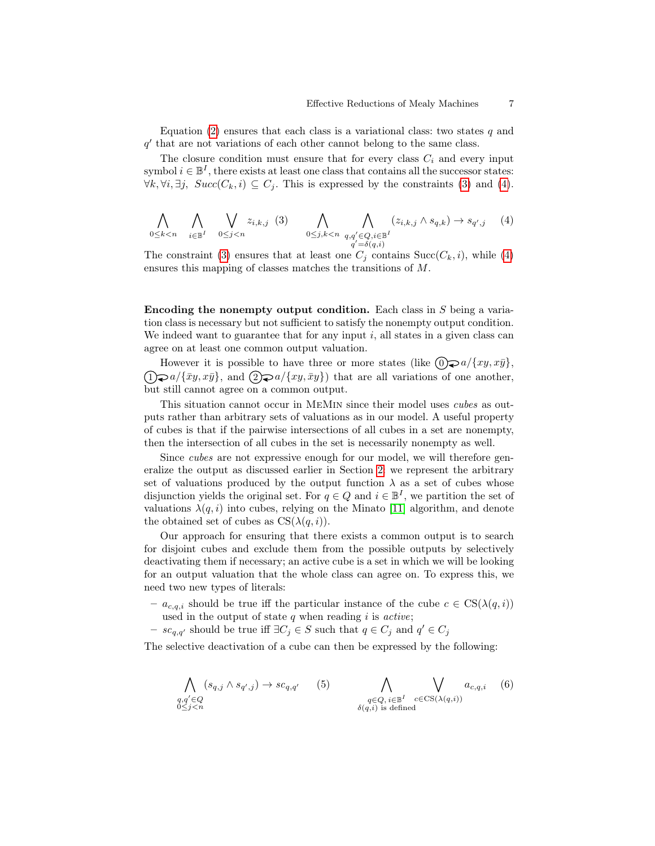Equation [\(2\)](#page-5-2) ensures that each class is a variational class: two states  $q$  and q' that are not variations of each other cannot belong to the same class.

The closure condition must ensure that for every class  $C_i$  and every input symbol  $i \in \mathbb{B}^I$ , there exists at least one class that contains all the successor states:  $\forall k, \forall i, \exists j, \; Succ(C_k, i) \subseteq C_j$ . This is expressed by the constraints [\(3\)](#page-6-0) and [\(4\)](#page-6-1).

<span id="page-6-1"></span><span id="page-6-0"></span>
$$
\bigwedge_{0 \leq k < n} \bigwedge_{i \in \mathbb{B}^I} \bigvee_{0 \leq j < n} z_{i,k,j} \quad (3) \qquad \bigwedge_{0 \leq j, k < n} \bigwedge_{q,q' \in Q, i \in \mathbb{B}^I} (z_{i,k,j} \wedge s_{q,k}) \to s_{q',j} \quad (4)
$$

The constraint [\(3\)](#page-6-0) ensures that at least one  $C_j$  contains  $Succ(C_k, i)$ , while [\(4\)](#page-6-1) ensures this mapping of classes matches the transitions of M.

<span id="page-6-4"></span>Encoding the nonempty output condition. Each class in  $S$  being a variation class is necessary but not sufficient to satisfy the nonempty output condition. We indeed want to guarantee that for any input  $i$ , all states in a given class can agree on at least one common output valuation.

However it is possible to have three or more states (like  $(0)$  a/ $\{xy, x\bar{y}\},$  $(1)$ ,  $a/\{\bar{x}y, x\bar{y}\},$  and  $(2)$ ,  $a/\{xy, \bar{xy}\}$  that are all variations of one another, but still cannot agree on a common output.

This situation cannot occur in MeMin since their model uses cubes as outputs rather than arbitrary sets of valuations as in our model. A useful property of cubes is that if the pairwise intersections of all cubes in a set are nonempty, then the intersection of all cubes in the set is necessarily nonempty as well.

Since cubes are not expressive enough for our model, we will therefore generalize the output as discussed earlier in Section [2:](#page-3-1) we represent the arbitrary set of valuations produced by the output function  $\lambda$  as a set of cubes whose disjunction yields the original set. For  $q \in Q$  and  $i \in \mathbb{B}^I$ , we partition the set of valuations  $\lambda(q, i)$  into cubes, relying on the Minato [\[11\]](#page-15-5) algorithm, and denote the obtained set of cubes as  $CS(\lambda(q, i))$ .

Our approach for ensuring that there exists a common output is to search for disjoint cubes and exclude them from the possible outputs by selectively deactivating them if necessary; an active cube is a set in which we will be looking for an output valuation that the whole class can agree on. To express this, we need two new types of literals:

- $a_{c,q,i}$  should be true iff the particular instance of the cube  $c \in CS(\lambda(q,i))$ used in the output of state  $q$  when reading  $i$  is  $active$ ;
- $s c_{q,q'}$  should be true iff  $\exists C_j \in S$  such that  $q \in C_j$  and  $q' \in C_j$

The selective deactivation of a cube can then be expressed by the following:

<span id="page-6-3"></span><span id="page-6-2"></span>
$$
\bigwedge_{\substack{q,q' \in Q \\ 0 \le j < n}} (s_{q,j} \land s_{q',j}) \to sc_{q,q'} \qquad (5) \qquad \bigwedge_{\substack{q \in Q, \, i \in \mathbb{B}^I \\ \delta(q,i) \text{ is defined}}} \bigvee_{c \in \text{CS}(\lambda(q,i))} a_{c,q,i} \qquad (6)
$$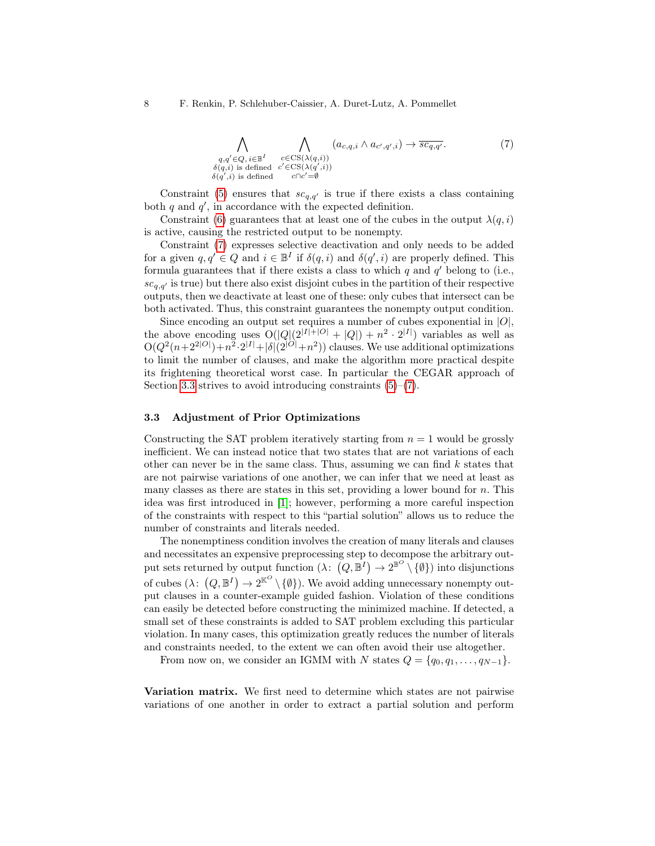<span id="page-7-0"></span>
$$
\bigwedge_{\substack{q,q' \in Q, i \in \mathbb{B}^I \\ \delta(q,i) \text{ is defined}}} \bigwedge_{\substack{c \in \text{CS}(\lambda(q,i)) \\ c' \in \text{CS}(\lambda(q',i)) \\ \delta(q',i) \text{ is defined}}} (a_{c,q,i} \wedge a_{c',q',i}) \rightarrow \overline{sc_{q,q'}}.
$$
\n
$$
(7)
$$

Constraint [\(5\)](#page-6-2) ensures that  $sc_{q,q'}$  is true if there exists a class containing both  $q$  and  $q'$ , in accordance with the expected definition.

Constraint [\(6\)](#page-6-3) guarantees that at least one of the cubes in the output  $\lambda(q, i)$ is active, causing the restricted output to be nonempty.

Constraint [\(7\)](#page-7-0) expresses selective deactivation and only needs to be added for a given  $q, q' \in Q$  and  $i \in \mathbb{B}^I$  if  $\delta(q, i)$  and  $\delta(q', i)$  are properly defined. This formula guarantees that if there exists a class to which  $q$  and  $q'$  belong to (i.e.,  $sc_{q,q'}$  is true) but there also exist disjoint cubes in the partition of their respective outputs, then we deactivate at least one of these: only cubes that intersect can be both activated. Thus, this constraint guarantees the nonempty output condition.

Since encoding an output set requires a number of cubes exponential in  $|O|$ , the above encoding uses  $O(|Q|(2^{|I|+|O|}+|Q|)+n^2 \cdot 2^{|I|})$  variables as well as  $O(Q^2(n+2^{2|O|})+n^2\cdot 2^{|I|}+|\delta|(2^{|O|}+n^2))$  clauses. We use additional optimizations to limit the number of clauses, and make the algorithm more practical despite its frightening theoretical worst case. In particular the CEGAR approach of Section [3.3](#page-8-0) strives to avoid introducing constraints  $(5)-(7)$  $(5)-(7)$  $(5)-(7)$ .

### 3.3 Adjustment of Prior Optimizations

Constructing the SAT problem iteratively starting from  $n = 1$  would be grossly inefficient. We can instead notice that two states that are not variations of each other can never be in the same class. Thus, assuming we can find  $k$  states that are not pairwise variations of one another, we can infer that we need at least as many classes as there are states in this set, providing a lower bound for  $n$ . This idea was first introduced in [\[1\]](#page-15-0); however, performing a more careful inspection of the constraints with respect to this "partial solution" allows us to reduce the number of constraints and literals needed.

The nonemptiness condition involves the creation of many literals and clauses and necessitates an expensive preprocessing step to decompose the arbitrary output sets returned by output function  $(\lambda: (Q, \mathbb{B}^I) \to 2^{\mathbb{B}^O} \setminus \{\emptyset\})$  into disjunctions of cubes  $(\lambda: (Q, \mathbb{B}^I) \to 2^{\mathbb{K}^O} \setminus {\{\emptyset\}})$ . We avoid adding unnecessary nonempty output clauses in a counter-example guided fashion. Violation of these conditions can easily be detected before constructing the minimized machine. If detected, a small set of these constraints is added to SAT problem excluding this particular violation. In many cases, this optimization greatly reduces the number of literals and constraints needed, to the extent we can often avoid their use altogether.

From now on, we consider an IGMM with N states  $Q = \{q_0, q_1, \ldots, q_{N-1}\}.$ 

Variation matrix. We first need to determine which states are not pairwise variations of one another in order to extract a partial solution and perform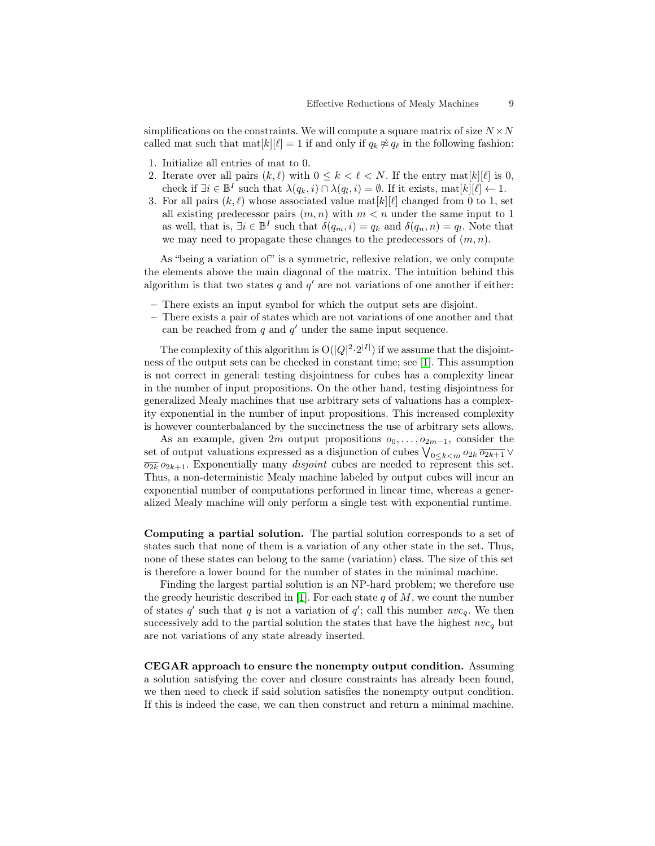simplifications on the constraints. We will compute a square matrix of size  $N \times N$ called mat such that  $\text{mat}[k][\ell] = 1$  if and only if  $q_k \not\approx q_\ell$  in the following fashion:

- 1. Initialize all entries of mat to 0.
- 2. Iterate over all pairs  $(k, \ell)$  with  $0 \leq k < \ell < N$ . If the entry mat $[k][\ell]$  is 0, check if  $\exists i \in \mathbb{B}^I$  such that  $\lambda(q_k, i) \cap \lambda(q_l, i) = \emptyset$ . If it exists,  $\text{mat}[k][\ell] \leftarrow 1$ .
- 3. For all pairs  $(k, \ell)$  whose associated value mat $[k][\ell]$  changed from 0 to 1, set all existing predecessor pairs  $(m, n)$  with  $m < n$  under the same input to 1 as well, that is,  $\exists i \in \mathbb{B}^I$  such that  $\delta(q_m, i) = q_k$  and  $\delta(q_n, n) = q_l$ . Note that we may need to propagate these changes to the predecessors of  $(m, n)$ .

As "being a variation of" is a symmetric, reflexive relation, we only compute the elements above the main diagonal of the matrix. The intuition behind this algorithm is that two states  $q$  and  $q'$  are not variations of one another if either:

- There exists an input symbol for which the output sets are disjoint.
- There exists a pair of states which are not variations of one another and that can be reached from  $q$  and  $q'$  under the same input sequence.

The complexity of this algorithm is  $O(|Q|^2 \cdot 2^{|I|})$  if we assume that the disjointness of the output sets can be checked in constant time; see [\[1\]](#page-15-0). This assumption is not correct in general: testing disjointness for cubes has a complexity linear in the number of input propositions. On the other hand, testing disjointness for generalized Mealy machines that use arbitrary sets of valuations has a complexity exponential in the number of input propositions. This increased complexity is however counterbalanced by the succinctness the use of arbitrary sets allows.

As an example, given 2m output propositions  $o_0, \ldots, o_{2m-1}$ , consider the set of output valuations expressed as a disjunction of cubes  $\bigvee_{0 \leq k < m} o_{2k} \overline{o_{2k+1}} \vee$  $\overline{\overline{o_{2k}}} o_{2k+1}$ . Exponentially many *disjoint* cubes are needed to represent this set. Thus, a non-deterministic Mealy machine labeled by output cubes will incur an exponential number of computations performed in linear time, whereas a generalized Mealy machine will only perform a single test with exponential runtime.

Computing a partial solution. The partial solution corresponds to a set of states such that none of them is a variation of any other state in the set. Thus, none of these states can belong to the same (variation) class. The size of this set is therefore a lower bound for the number of states in the minimal machine.

Finding the largest partial solution is an NP-hard problem; we therefore use the greedy heuristic described in [\[1\]](#page-15-0). For each state  $q$  of  $M$ , we count the number of states q' such that q is not a variation of  $q'$ ; call this number  $nvc_q$ . We then successively add to the partial solution the states that have the highest  $nvc_q$  but are not variations of any state already inserted.

<span id="page-8-0"></span>CEGAR approach to ensure the nonempty output condition. Assuming a solution satisfying the cover and closure constraints has already been found, we then need to check if said solution satisfies the nonempty output condition. If this is indeed the case, we can then construct and return a minimal machine.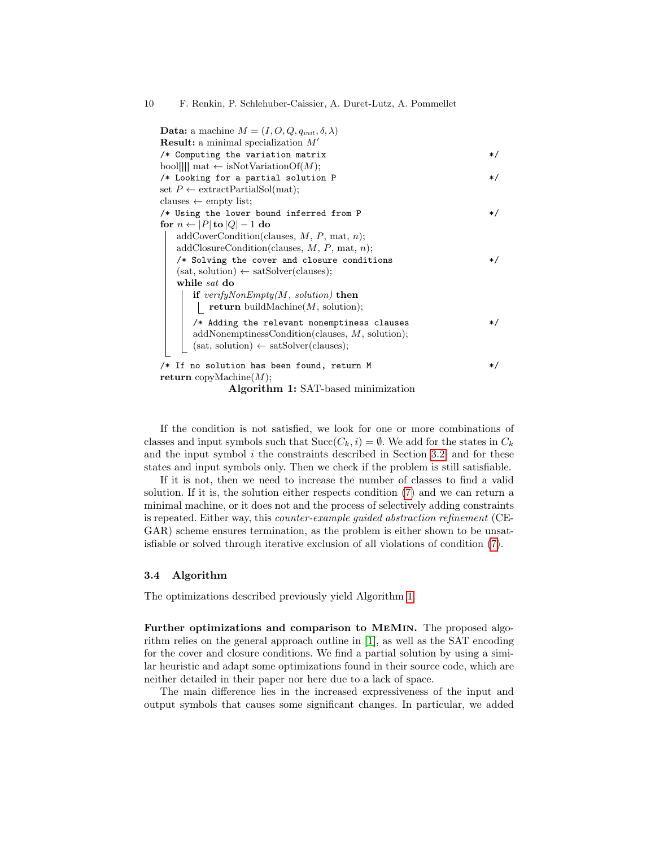| <b>Data:</b> a machine $M = (I, O, Q, q_{init}, \delta, \lambda)$ |       |
|-------------------------------------------------------------------|-------|
| <b>Result:</b> a minimal specialization $M'$                      |       |
| $/*$ Computing the variation matrix                               | */    |
| bool     mat $\leftarrow$ isNotVariationOf(M);                    |       |
| /* Looking for a partial solution P                               | */    |
| set $P \leftarrow$ extract Partial Sol(mat);                      |       |
| clauses $\leftarrow$ empty list;                                  |       |
| /* Using the lower bound inferred from P                          | */    |
| for $n \leftarrow  P $ to $ Q  - 1$ do                            |       |
| $addCoverCondition(clauses, M, P, mat, n);$                       |       |
| $addClosureCondition$ (clauses, M, P, mat, n);                    |       |
| /* Solving the cover and closure conditions                       | */    |
| $(sat, solution) \leftarrow satSolver(clauses);$                  |       |
| while sat do                                                      |       |
| if $verifyNonEmpty(M, solution)$ then                             |       |
| return buildMachine $(M,$ solution);                              |       |
| /* Adding the relevant nonemptiness clauses                       | */    |
| $addNonemptionsCondition(clauses, M, solution);$                  |       |
| $(sat, solution) \leftarrow satSolver(clauses);$                  |       |
|                                                                   |       |
| /* If no solution has been found, return M                        | $*$ / |
| <b>return</b> copyMachine $(M)$ ;                                 |       |
| $\blacksquare$                                                    |       |

Algorithm 1: SAT-based minimization

<span id="page-9-0"></span>If the condition is not satisfied, we look for one or more combinations of classes and input symbols such that  $Succ(C_k, i) = \emptyset$ . We add for the states in  $C_k$ and the input symbol  $i$  the constraints described in Section [3.2,](#page-6-4) and for these states and input symbols only. Then we check if the problem is still satisfiable.

If it is not, then we need to increase the number of classes to find a valid solution. If it is, the solution either respects condition [\(7\)](#page-4-2) and we can return a minimal machine, or it does not and the process of selectively adding constraints is repeated. Either way, this counter-example guided abstraction refinement (CE-GAR) scheme ensures termination, as the problem is either shown to be unsatisfiable or solved through iterative exclusion of all violations of condition [\(7\)](#page-4-2).

### 3.4 Algorithm

The optimizations described previously yield Algorithm [1.](#page-9-0)

Further optimizations and comparison to MeMin. The proposed algorithm relies on the general approach outline in [\[1\]](#page-15-0), as well as the SAT encoding for the cover and closure conditions. We find a partial solution by using a similar heuristic and adapt some optimizations found in their source code, which are neither detailed in their paper nor here due to a lack of space.

The main difference lies in the increased expressiveness of the input and output symbols that causes some significant changes. In particular, we added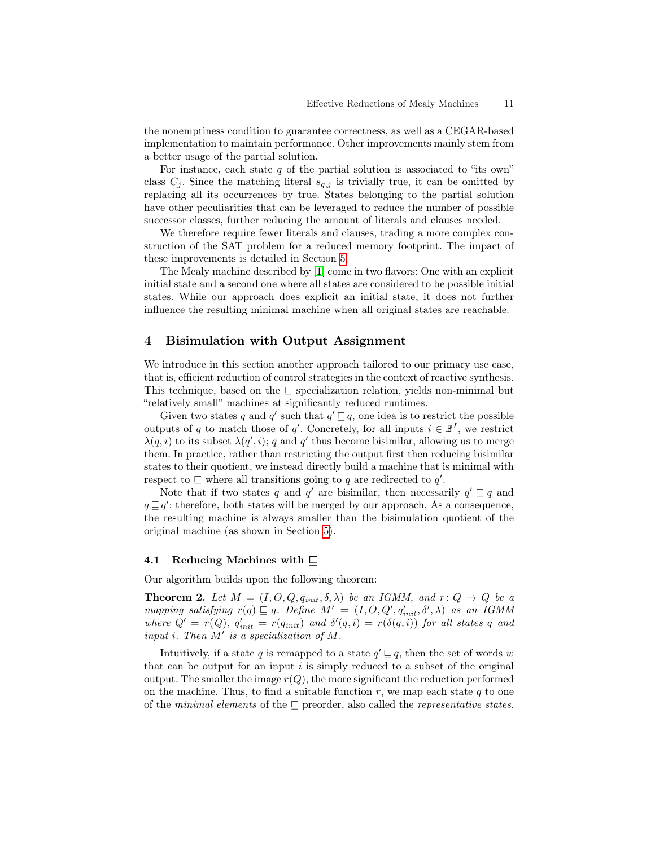the nonemptiness condition to guarantee correctness, as well as a CEGAR-based implementation to maintain performance. Other improvements mainly stem from a better usage of the partial solution.

For instance, each state  $q$  of the partial solution is associated to "its own" class  $C_i$ . Since the matching literal  $s_{q,i}$  is trivially true, it can be omitted by replacing all its occurrences by true. States belonging to the partial solution have other peculiarities that can be leveraged to reduce the number of possible successor classes, further reducing the amount of literals and clauses needed.

We therefore require fewer literals and clauses, trading a more complex construction of the SAT problem for a reduced memory footprint. The impact of these improvements is detailed in Section [5.](#page-12-0)

The Mealy machine described by [\[1\]](#page-15-0) come in two flavors: One with an explicit initial state and a second one where all states are considered to be possible initial states. While our approach does explicit an initial state, it does not further influence the resulting minimal machine when all original states are reachable.

# <span id="page-10-0"></span>4 Bisimulation with Output Assignment

We introduce in this section another approach tailored to our primary use case, that is, efficient reduction of control strategies in the context of reactive synthesis. This technique, based on the ⊑ specialization relation, yields non-minimal but "relatively small" machines at significantly reduced runtimes.

Given two states q and q' such that  $q' \sqsubseteq q$ , one idea is to restrict the possible outputs of q to match those of q'. Concretely, for all inputs  $i \in \mathbb{B}^I$ , we restrict  $\lambda(q, i)$  to its subset  $\lambda(q', i); q$  and q' thus become bisimilar, allowing us to merge them. In practice, rather than restricting the output first then reducing bisimilar states to their quotient, we instead directly build a machine that is minimal with respect to  $\subseteq$  where all transitions going to q are redirected to q'.

Note that if two states q and q' are bisimilar, then necessarily  $q' \sqsubseteq q$  and  $q \sqsubseteq q'$ : therefore, both states will be merged by our approach. As a consequence, the resulting machine is always smaller than the bisimulation quotient of the original machine (as shown in Section [5\)](#page-12-0).

#### 4.1 Reducing Machines with ⊑

<span id="page-10-1"></span>Our algorithm builds upon the following theorem:

**Theorem 2.** Let  $M = (I, O, Q, q_{init}, \delta, \lambda)$  be an IGMM, and  $r: Q \rightarrow Q$  be a mapping satisfying  $r(q) \sqsubseteq q$ . Define  $M' = (I, O, Q', q'_{init}, \delta', \lambda)$  as an IGMM where  $Q' = r(Q)$ ,  $q'_{init} = r(q_{init})$  and  $\delta'(q, i) = r(\delta(q, i))$  for all states q and input i. Then M′ is a specialization of M.

Intuitively, if a state q is remapped to a state  $q' \sqsubseteq q$ , then the set of words w that can be output for an input  $i$  is simply reduced to a subset of the original output. The smaller the image  $r(Q)$ , the more significant the reduction performed on the machine. Thus, to find a suitable function  $r$ , we map each state  $q$  to one of the minimal elements of the  $\sqsubseteq$  preorder, also called the *representative states*.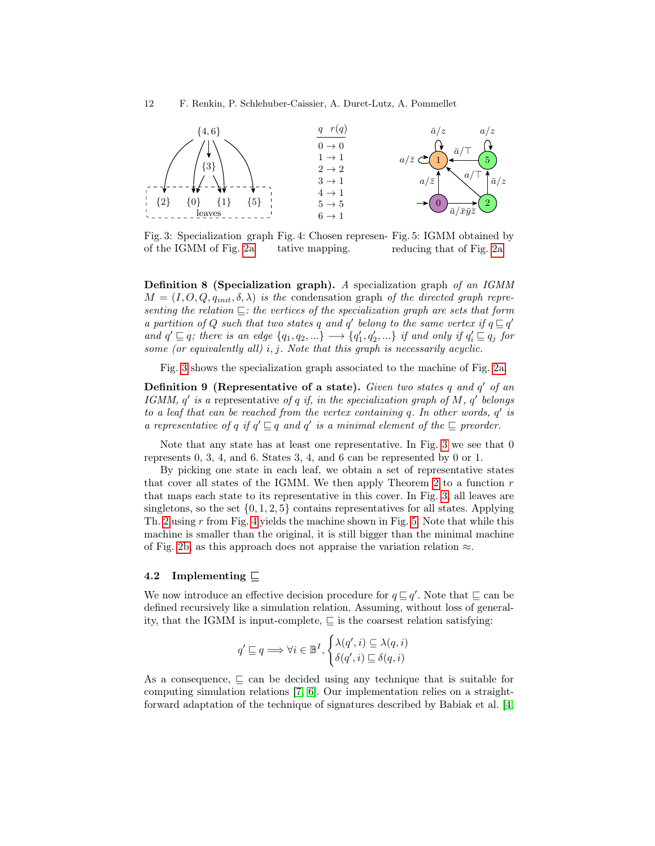<span id="page-11-0"></span>

Fig. 3: Specialization graph Fig. 4: Chosen represen-Fig. 5: IGMM obtained by of the IGMM of Fig. [2a](#page-5-0) tative mapping. reducing that of Fig. [2a](#page-5-0)

Definition 8 (Specialization graph). A specialization graph of an IGMM  $M = (I, O, Q, q_{init}, \delta, \lambda)$  is the condensation graph of the directed graph representing the relation ⊑: the vertices of the specialization graph are sets that form a partition of Q such that two states q and q' belong to the same vertex if  $q \sqsubseteq q'$ and  $q' \sqsubseteq q$ ; there is an edge  $\{q_1, q_2, ...\} \longrightarrow \{q'_1, q'_2, ...\}$  if and only if  $q'_i \sqsubseteq q_j$  for some (or equivalently all)  $i, j$ . Note that this graph is necessarily acyclic.

Fig. [3](#page-11-0) shows the specialization graph associated to the machine of Fig. [2a.](#page-5-0)

Definition 9 (Representative of a state). Given two states  $q$  and  $q'$  of an IGMM,  $q'$  is a representative of q if, in the specialization graph of M,  $q'$  belongs to a leaf that can be reached from the vertex containing  $q$ . In other words,  $q'$  is a representative of q if  $q' \sqsubseteq q$  and  $q'$  is a minimal element of the  $\sqsubseteq$  preorder.

Note that any state has at least one representative. In Fig. [3](#page-11-0) we see that 0 represents 0, 3, 4, and 6. States 3, 4, and 6 can be represented by 0 or 1.

By picking one state in each leaf, we obtain a set of representative states that cover all states of the IGMM. We then apply Theorem [2](#page-10-1) to a function  $r$ that maps each state to its representative in this cover. In Fig. [3,](#page-11-0) all leaves are singletons, so the set  $\{0, 1, 2, 5\}$  contains representatives for all states. Applying Th. [2](#page-10-1) using r from Fig. [4](#page-11-0) yields the machine shown in Fig. [5.](#page-11-0) Note that while this machine is smaller than the original, it is still bigger than the minimal machine of Fig. [2b,](#page-5-0) as this approach does not appraise the variation relation  $\approx$ .

### 4.2 Implementing ⊑

We now introduce an effective decision procedure for  $q \sqsubseteq q'$ . Note that  $\sqsubseteq$  can be defined recursively like a simulation relation. Assuming, without loss of generality, that the IGMM is input-complete,  $\subseteq$  is the coarsest relation satisfying:

$$
q' \sqsubseteq q \Longrightarrow \forall i \in \mathbb{B}^I, \begin{cases} \lambda(q', i) \subseteq \lambda(q, i) \\ \delta(q', i) \sqsubseteq \delta(q, i) \end{cases}
$$

As a consequence,  $\subseteq$  can be decided using any technique that is suitable for computing simulation relations [\[7,](#page-15-6) [6\]](#page-15-7). Our implementation relies on a straightforward adaptation of the technique of signatures described by Babiak et al. [\[4,](#page-15-8)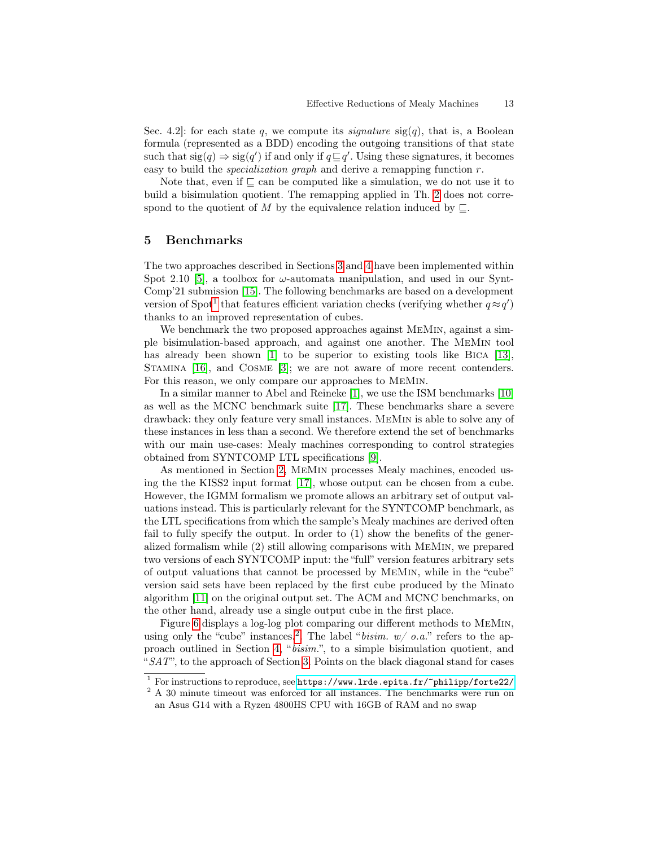Sec. 4.2. for each state q, we compute its *signature*  $sig(q)$ , that is, a Boolean formula (represented as a BDD) encoding the outgoing transitions of that state such that  $sig(q) \Rightarrow sig(q')$  if and only if  $q \sqsubseteq q'$ . Using these signatures, it becomes easy to build the *specialization graph* and derive a remapping function  $r$ .

Note that, even if  $\subseteq$  can be computed like a simulation, we do not use it to build a bisimulation quotient. The remapping applied in Th. [2](#page-10-1) does not correspond to the quotient of M by the equivalence relation induced by  $\Box$ .

# <span id="page-12-0"></span>5 Benchmarks

The two approaches described in Sections [3](#page-3-0) and [4](#page-10-0) have been implemented within Spot 2.10 [\[5\]](#page-15-9), a toolbox for  $\omega$ -automata manipulation, and used in our Synt-Comp'21 submission [\[15\]](#page-15-10). The following benchmarks are based on a development version of Spot<sup>[1](#page-12-1)</sup> that features efficient variation checks (verifying whether  $q \approx q'$ ) thanks to an improved representation of cubes.

We benchmark the two proposed approaches against MeMin, against a simple bisimulation-based approach, and against one another. The MeMin tool has already been shown [\[1\]](#page-15-0) to be superior to existing tools like BICA [\[13\]](#page-15-11), Stamina [\[16\]](#page-15-12), and Cosme [\[3\]](#page-15-13); we are not aware of more recent contenders. For this reason, we only compare our approaches to MeMin.

In a similar manner to Abel and Reineke [\[1\]](#page-15-0), we use the ISM benchmarks [\[10\]](#page-15-14) as well as the MCNC benchmark suite [\[17\]](#page-15-15). These benchmarks share a severe drawback: they only feature very small instances. MeMin is able to solve any of these instances in less than a second. We therefore extend the set of benchmarks with our main use-cases: Mealy machines corresponding to control strategies obtained from SYNTCOMP LTL specifications [\[9\]](#page-15-16).

As mentioned in Section [2,](#page-3-1) MeMin processes Mealy machines, encoded using the the KISS2 input format [\[17\]](#page-15-15), whose output can be chosen from a cube. However, the IGMM formalism we promote allows an arbitrary set of output valuations instead. This is particularly relevant for the SYNTCOMP benchmark, as the LTL specifications from which the sample's Mealy machines are derived often fail to fully specify the output. In order to (1) show the benefits of the generalized formalism while (2) still allowing comparisons with MeMin, we prepared two versions of each SYNTCOMP input: the "full" version features arbitrary sets of output valuations that cannot be processed by MeMin, while in the "cube" version said sets have been replaced by the first cube produced by the Minato algorithm [\[11\]](#page-15-5) on the original output set. The ACM and MCNC benchmarks, on the other hand, already use a single output cube in the first place.

Figure [6](#page-13-0) displays a log-log plot comparing our different methods to MeMin, using only the "cube" instances.<sup>[2](#page-12-2)</sup>. The label "*bisim.*  $w/$  *o.a.*" refers to the approach outlined in Section [4,](#page-10-0) "bisim.", to a simple bisimulation quotient, and " $SAT$ ", to the approach of Section [3.](#page-3-0) Points on the black diagonal stand for cases

<span id="page-12-1"></span><sup>&</sup>lt;sup>1</sup> For instructions to reproduce, see <https://www.lrde.epita.fr/~philipp/forte22/>

<span id="page-12-2"></span> $2$  A 30 minute timeout was enforced for all instances. The benchmarks were run on an Asus G14 with a Ryzen 4800HS CPU with 16GB of RAM and no swap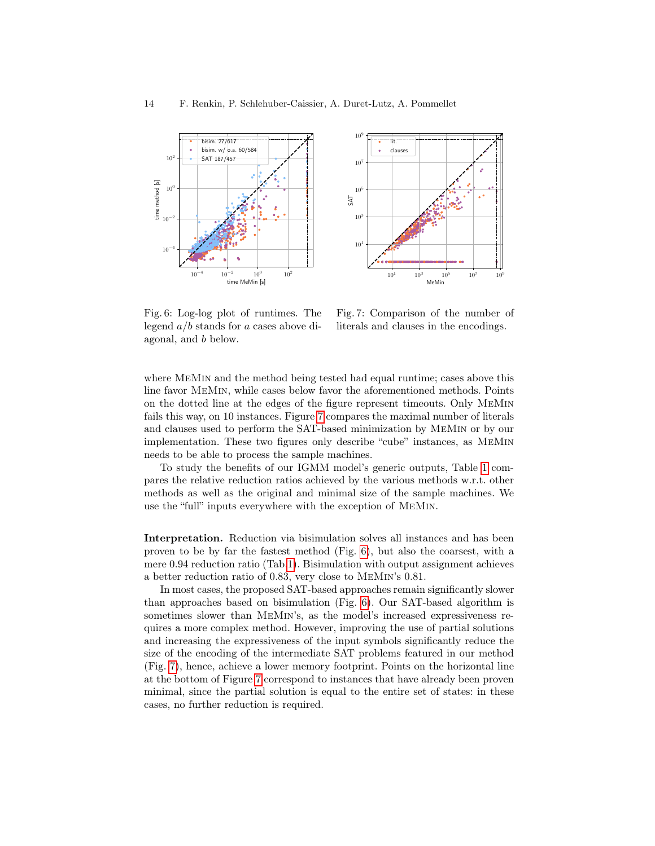<span id="page-13-0"></span>

Fig. 6: Log-log plot of runtimes. The legend a/b stands for a cases above diagonal, and b below.

Fig. 7: Comparison of the number of literals and clauses in the encodings.

where MeMin and the method being tested had equal runtime; cases above this line favor MeMin, while cases below favor the aforementioned methods. Points on the dotted line at the edges of the figure represent timeouts. Only MeMin fails this way, on 10 instances. Figure [7](#page-13-0) compares the maximal number of literals and clauses used to perform the SAT-based minimization by MeMin or by our implementation. These two figures only describe "cube" instances, as MeMin needs to be able to process the sample machines.

To study the benefits of our IGMM model's generic outputs, Table [1](#page-14-0) compares the relative reduction ratios achieved by the various methods w.r.t. other methods as well as the original and minimal size of the sample machines. We use the "full" inputs everywhere with the exception of MeMin.

Interpretation. Reduction via bisimulation solves all instances and has been proven to be by far the fastest method (Fig. [6\)](#page-13-0), but also the coarsest, with a mere 0.94 reduction ratio (Tab[.1\)](#page-14-0). Bisimulation with output assignment achieves a better reduction ratio of 0.83, very close to MeMin's 0.81.

In most cases, the proposed SAT-based approaches remain significantly slower than approaches based on bisimulation (Fig. [6\)](#page-13-0). Our SAT-based algorithm is sometimes slower than MeMin's, as the model's increased expressiveness requires a more complex method. However, improving the use of partial solutions and increasing the expressiveness of the input symbols significantly reduce the size of the encoding of the intermediate SAT problems featured in our method (Fig. [7\)](#page-13-0), hence, achieve a lower memory footprint. Points on the horizontal line at the bottom of Figure [7](#page-13-0) correspond to instances that have already been proven minimal, since the partial solution is equal to the entire set of states: in these cases, no further reduction is required.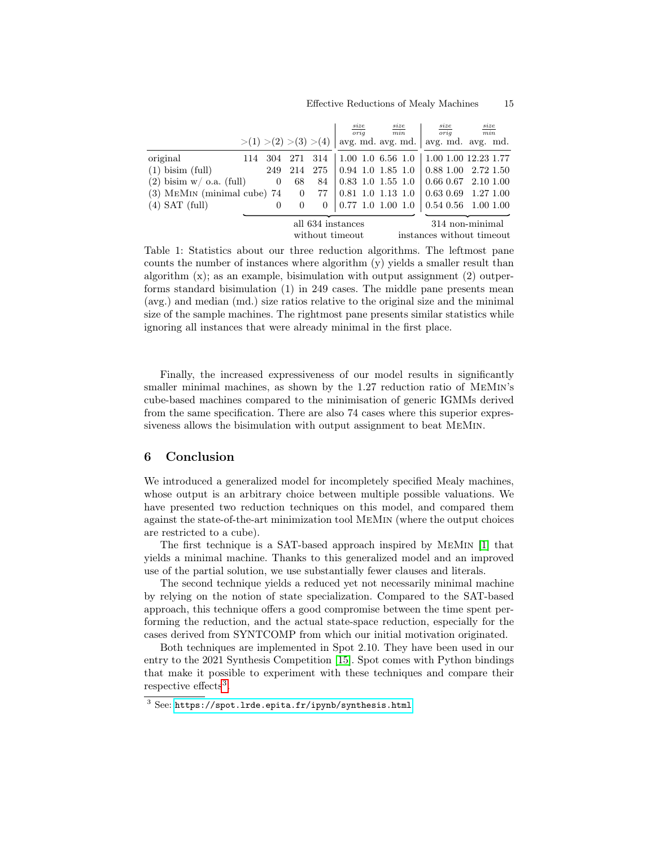#### Effective Reductions of Mealy Machines 15

<span id="page-14-0"></span>

|                               |                                                                 |                |                                                | $rac{size}{orig}$                                 |  | $\frac{size}{min}$ | $\frac{size}{orig}$ | $\frac{size}{min}$                              |  |
|-------------------------------|-----------------------------------------------------------------|----------------|------------------------------------------------|---------------------------------------------------|--|--------------------|---------------------|-------------------------------------------------|--|
|                               | $>(1)$ $>(2)$ $>(3)$ $>(4)$ avg. md. avg. md. avg. md. avg. md. |                |                                                |                                                   |  |                    |                     |                                                 |  |
| original                      | 304<br>114                                                      |                | 271 314 1.00 1.0 6.56 1.0 1.00 1.00 12.23 1.77 |                                                   |  |                    |                     |                                                 |  |
| $(1)$ bisim $(full)$          | 249                                                             | 214            | 275                                            | $\vert 0.94 \vert 1.0 \vert 1.85 \vert 1.0 \vert$ |  |                    |                     | $\vert 0.88 \ 1.00 \ \vert 2.72 \ 1.50 \ \vert$ |  |
| $(2)$ bisim w/ o.a. (full)    | $\overline{0}$                                                  | 68             | 84                                             | $0.83$ 1.0 1.55 1.0                               |  |                    |                     | $\vert 0.66 \, 0.67 \vert 2.10 \, 1.00 \vert$   |  |
| $(3)$ MEMIN (minimal cube) 74 |                                                                 | $\overline{0}$ | 77                                             | $0.81$ 1.0 1.13 1.0                               |  |                    |                     | $\vert 0.63 \, 0.69 \, 1.27 \, 1.00 \vert$      |  |
| $(4)$ SAT $(full)$            | 0                                                               |                | 0                                              | $\vert$ 0.77 1.0 1.00 1.0                         |  |                    |                     | $\vert 0.54 \, 0.56 \, 1.00 \, 1.00 \,$         |  |
|                               |                                                                 |                |                                                |                                                   |  |                    |                     |                                                 |  |
|                               | all 634 instances                                               |                |                                                |                                                   |  | 314 non-minimal    |                     |                                                 |  |
|                               |                                                                 |                | without timeout                                |                                                   |  |                    |                     | instances without timeout                       |  |

Table 1: Statistics about our three reduction algorithms. The leftmost pane counts the number of instances where algorithm (y) yields a smaller result than algorithm (x); as an example, bisimulation with output assignment (2) outperforms standard bisimulation (1) in 249 cases. The middle pane presents mean (avg.) and median (md.) size ratios relative to the original size and the minimal size of the sample machines. The rightmost pane presents similar statistics while ignoring all instances that were already minimal in the first place.

Finally, the increased expressiveness of our model results in significantly smaller minimal machines, as shown by the 1.27 reduction ratio of MeMin's cube-based machines compared to the minimisation of generic IGMMs derived from the same specification. There are also 74 cases where this superior expressiveness allows the bisimulation with output assignment to beat MeMin.

# 6 Conclusion

We introduced a generalized model for incompletely specified Mealy machines, whose output is an arbitrary choice between multiple possible valuations. We have presented two reduction techniques on this model, and compared them against the state-of-the-art minimization tool MeMin (where the output choices are restricted to a cube).

The first technique is a SAT-based approach inspired by MeMin [\[1\]](#page-15-0) that yields a minimal machine. Thanks to this generalized model and an improved use of the partial solution, we use substantially fewer clauses and literals.

The second technique yields a reduced yet not necessarily minimal machine by relying on the notion of state specialization. Compared to the SAT-based approach, this technique offers a good compromise between the time spent performing the reduction, and the actual state-space reduction, especially for the cases derived from SYNTCOMP from which our initial motivation originated.

Both techniques are implemented in Spot 2.10. They have been used in our entry to the 2021 Synthesis Competition [\[15\]](#page-15-10). Spot comes with Python bindings that make it possible to experiment with these techniques and compare their respective effects<sup>[3](#page-14-1)</sup>.

<span id="page-14-1"></span><sup>3</sup> See: <https://spot.lrde.epita.fr/ipynb/synthesis.html>.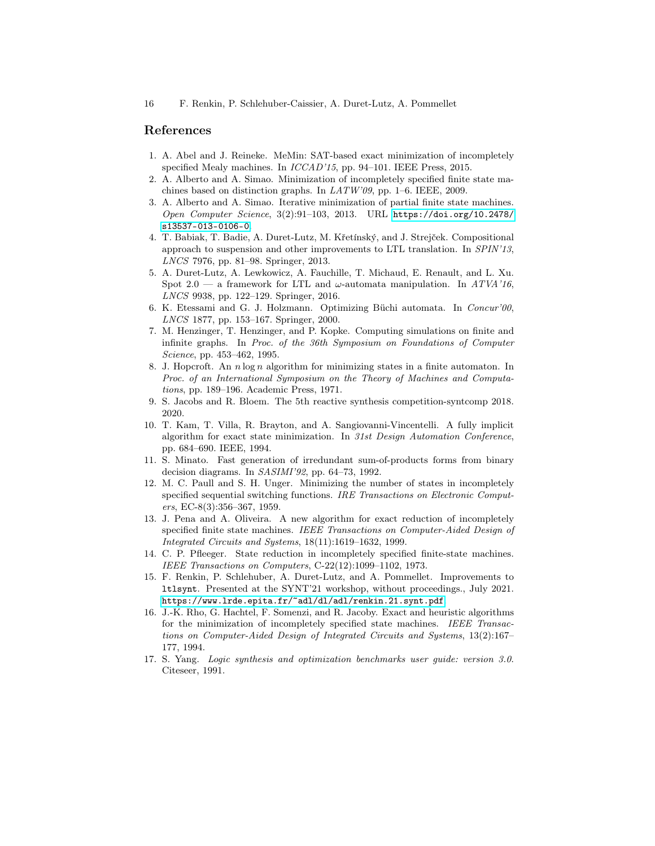### References

- <span id="page-15-0"></span>1. A. Abel and J. Reineke. MeMin: SAT-based exact minimization of incompletely specified Mealy machines. In ICCAD'15, pp. 94–101. IEEE Press, 2015.
- <span id="page-15-1"></span>2. A. Alberto and A. Simao. Minimization of incompletely specified finite state machines based on distinction graphs. In LATW'09, pp. 1–6. IEEE, 2009.
- <span id="page-15-13"></span>3. A. Alberto and A. Simao. Iterative minimization of partial finite state machines. Open Computer Science, 3(2):91–103, 2013. URL [https://doi.org/10.2478/](https://doi.org/10.2478/s13537-013-0106-0) [s13537-013-0106-0](https://doi.org/10.2478/s13537-013-0106-0).
- <span id="page-15-8"></span>4. T. Babiak, T. Badie, A. Duret-Lutz, M. Křetínský, and J. Strejček. Compositional approach to suspension and other improvements to LTL translation. In SPIN'13, LNCS 7976, pp. 81–98. Springer, 2013.
- <span id="page-15-9"></span>5. A. Duret-Lutz, A. Lewkowicz, A. Fauchille, T. Michaud, E. Renault, and L. Xu. Spot 2.0 — a framework for LTL and  $\omega$ -automata manipulation. In ATVA'16, LNCS 9938, pp. 122–129. Springer, 2016.
- <span id="page-15-7"></span>6. K. Etessami and G. J. Holzmann. Optimizing Büchi automata. In Concur'00, LNCS 1877, pp. 153–167. Springer, 2000.
- <span id="page-15-6"></span>7. M. Henzinger, T. Henzinger, and P. Kopke. Computing simulations on finite and infinite graphs. In Proc. of the 36th Symposium on Foundations of Computer Science, pp. 453–462, 1995.
- <span id="page-15-3"></span>8. J. Hopcroft. An n log n algorithm for minimizing states in a finite automaton. In Proc. of an International Symposium on the Theory of Machines and Computations, pp. 189–196. Academic Press, 1971.
- <span id="page-15-16"></span>9. S. Jacobs and R. Bloem. The 5th reactive synthesis competition-syntcomp 2018. 2020.
- <span id="page-15-14"></span>10. T. Kam, T. Villa, R. Brayton, and A. Sangiovanni-Vincentelli. A fully implicit algorithm for exact state minimization. In 31st Design Automation Conference, pp. 684–690. IEEE, 1994.
- <span id="page-15-5"></span>11. S. Minato. Fast generation of irredundant sum-of-products forms from binary decision diagrams. In SASIMI'92, pp. 64–73, 1992.
- <span id="page-15-2"></span>12. M. C. Paull and S. H. Unger. Minimizing the number of states in incompletely specified sequential switching functions. IRE Transactions on Electronic Computers, EC-8(3):356–367, 1959.
- <span id="page-15-11"></span>13. J. Pena and A. Oliveira. A new algorithm for exact reduction of incompletely specified finite state machines. IEEE Transactions on Computer-Aided Design of Integrated Circuits and Systems, 18(11):1619–1632, 1999.
- <span id="page-15-4"></span>14. C. P. Pfleeger. State reduction in incompletely specified finite-state machines. IEEE Transactions on Computers, C-22(12):1099–1102, 1973.
- <span id="page-15-10"></span>15. F. Renkin, P. Schlehuber, A. Duret-Lutz, and A. Pommellet. Improvements to ltlsynt. Presented at the SYNT'21 workshop, without proceedings., July 2021. <https://www.lrde.epita.fr/~adl/dl/adl/renkin.21.synt.pdf>.
- <span id="page-15-12"></span>16. J.-K. Rho, G. Hachtel, F. Somenzi, and R. Jacoby. Exact and heuristic algorithms for the minimization of incompletely specified state machines. IEEE Transactions on Computer-Aided Design of Integrated Circuits and Systems, 13(2):167– 177, 1994.
- <span id="page-15-15"></span>17. S. Yang. Logic synthesis and optimization benchmarks user guide: version 3.0. Citeseer, 1991.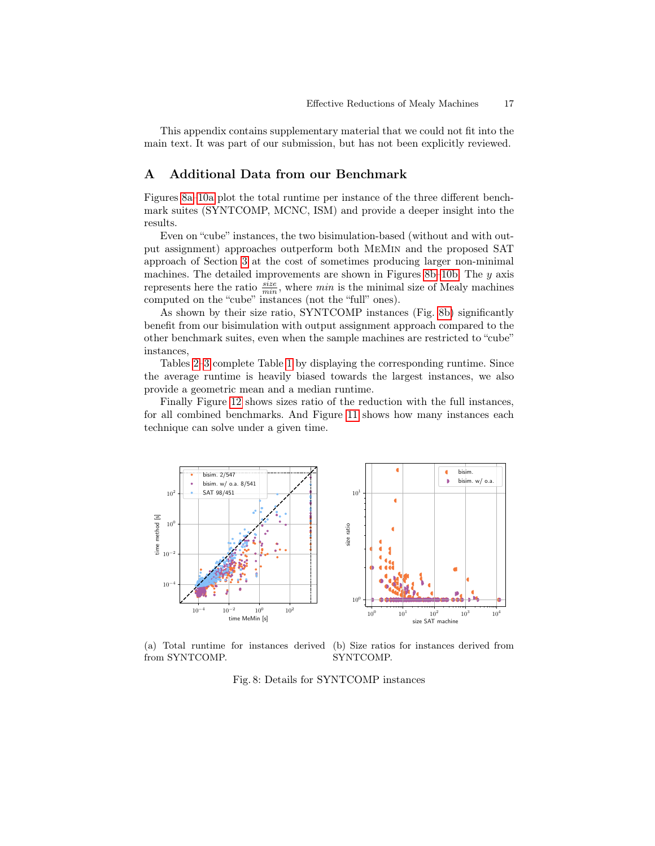This appendix contains supplementary material that we could not fit into the main text. It was part of our submission, but has not been explicitly reviewed.

### A Additional Data from our Benchmark

Figures [8a](#page-16-0)[–10a](#page-17-0) plot the total runtime per instance of the three different benchmark suites (SYNTCOMP, MCNC, ISM) and provide a deeper insight into the results.

Even on "cube" instances, the two bisimulation-based (without and with output assignment) approaches outperform both MeMin and the proposed SAT approach of Section [3](#page-3-0) at the cost of sometimes producing larger non-minimal machines. The detailed improvements are shown in Figures [8b–](#page-16-0)[10b.](#page-17-0) The  $y$  axis represents here the ratio  $\frac{size}{min}$ , where min is the minimal size of Mealy machines computed on the "cube" instances (not the "full" ones).

As shown by their size ratio, SYNTCOMP instances (Fig. [8b\)](#page-16-0) significantly benefit from our bisimulation with output assignment approach compared to the other benchmark suites, even when the sample machines are restricted to "cube" instances,

Tables [2–](#page-18-0)[3](#page-18-1) complete Table [1](#page-14-0) by displaying the corresponding runtime. Since the average runtime is heavily biased towards the largest instances, we also provide a geometric mean and a median runtime.

Finally Figure [12](#page-18-2) shows sizes ratio of the reduction with the full instances, for all combined benchmarks. And Figure [11](#page-18-2) shows how many instances each technique can solve under a given time.

<span id="page-16-0"></span>

(a) Total runtime for instances derived (b) Size ratios for instances derived from from SYNTCOMP. SYNTCOMP.

Fig. 8: Details for SYNTCOMP instances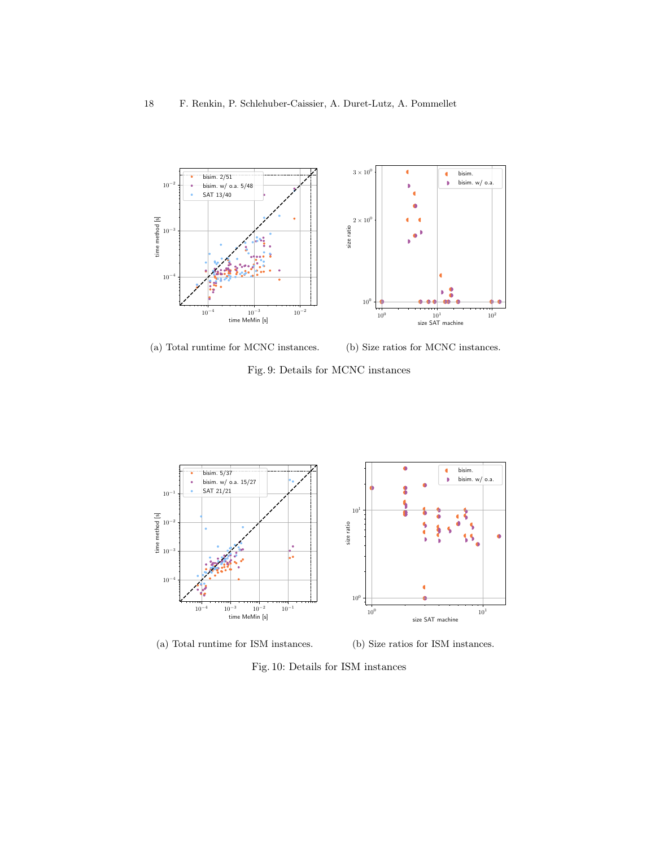

(a) Total runtime for MCNC instances.

(b) Size ratios for MCNC instances.

Fig. 9: Details for MCNC instances

<span id="page-17-0"></span>

(a) Total runtime for ISM instances. (b) Size ratios for ISM instances.

Fig. 10: Details for ISM instances